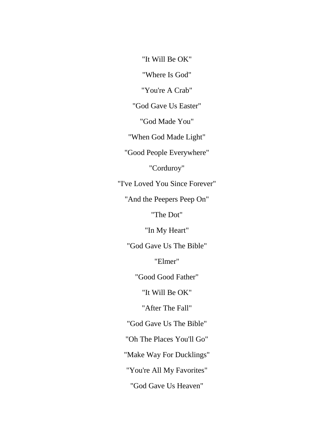"It Will Be OK"

"Where Is God"

"You're A Crab"

"God Gave Us Easter"

"God Made You"

"When God Made Light"

"Good People Everywhere"

"Corduroy"

"I've Loved You Since Forever"

"And the Peepers Peep On"

"The Dot"

"In My Heart"

"God Gave Us The Bible"

"Elmer"

"Good Good Father"

"It Will Be OK"

"After The Fall"

"God Gave Us The Bible"

"Oh The Places You'll Go"

"Make Way For Ducklings"

"You're All My Favorites"

"God Gave Us Heaven"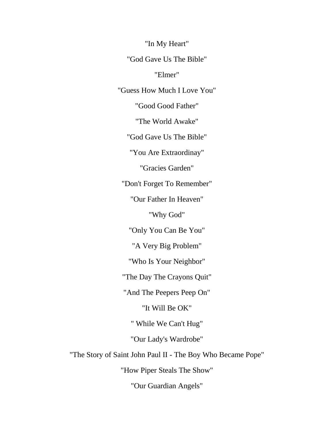"In My Heart"

"God Gave Us The Bible"

"Elmer"

"Guess How Much I Love You"

"Good Good Father"

"The World Awake"

"God Gave Us The Bible"

"You Are Extraordinay"

"Gracies Garden"

"Don't Forget To Remember"

"Our Father In Heaven"

"Why God"

"Only You Can Be You"

"A Very Big Problem"

"Who Is Your Neighbor"

"The Day The Crayons Quit"

"And The Peepers Peep On"

"It Will Be OK"

" While We Can't Hug"

"Our Lady's Wardrobe"

"The Story of Saint John Paul II - The Boy Who Became Pope"

"How Piper Steals The Show"

"Our Guardian Angels"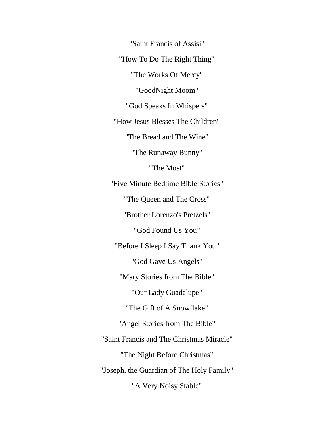"Saint Francis of Assisi" "How To Do The Right Thing" "The Works Of Mercy" "GoodNight Moom" "God Speaks In Whispers" "How Jesus Blesses The Children" "The Bread and The Wine" "The Runaway Bunny" "The Most" "Five Minute Bedtime Bible Stories" "The Queen and The Cross" "Brother Lorenzo's Pretzels" "God Found Us You" "Before I Sleep I Say Thank You" "God Gave Us Angels" "Mary Stories from The Bible" "Our Lady Guadalupe" "The Gift of A Snowflake" "Angel Stories from The Bible" "Saint Francis and The Christmas Miracle" "The Night Before Christmas" "Joseph, the Guardian of The Holy Family" "A Very Noisy Stable"